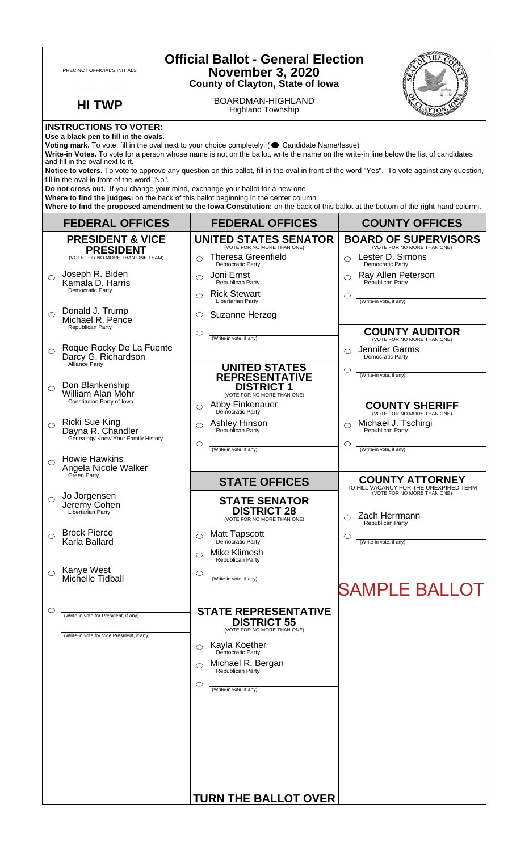| PRECINCT OFFICIAL'S INITIALS                                                                                                                                                                                                                                                                                                                                                                                                                                                                                                                                                                                                                                                                                                   |                                                                                       | <b>Official Ballot - General Election</b><br><b>November 3, 2020</b><br><b>County of Clayton, State of Iowa</b>                                             |                                                                                                 |  |
|--------------------------------------------------------------------------------------------------------------------------------------------------------------------------------------------------------------------------------------------------------------------------------------------------------------------------------------------------------------------------------------------------------------------------------------------------------------------------------------------------------------------------------------------------------------------------------------------------------------------------------------------------------------------------------------------------------------------------------|---------------------------------------------------------------------------------------|-------------------------------------------------------------------------------------------------------------------------------------------------------------|-------------------------------------------------------------------------------------------------|--|
|                                                                                                                                                                                                                                                                                                                                                                                                                                                                                                                                                                                                                                                                                                                                | <b>HI TWP</b>                                                                         | BOARDMAN-HIGHLAND<br><b>Highland Township</b>                                                                                                               |                                                                                                 |  |
| <b>INSTRUCTIONS TO VOTER:</b><br>Use a black pen to fill in the ovals.<br>Voting mark. To vote, fill in the oval next to your choice completely. (Condidate Name/Issue)<br>Write-in Votes. To vote for a person whose name is not on the ballot, write the name on the write-in line below the list of candidates<br>and fill in the oval next to it.<br>Notice to voters. To vote to approve any question on this ballot, fill in the oval in front of the word "Yes". To vote against any question,<br>fill in the oval in front of the word "No".<br>Do not cross out. If you change your mind, exchange your ballot for a new one.<br>Where to find the judges: on the back of this ballot beginning in the center column. |                                                                                       |                                                                                                                                                             |                                                                                                 |  |
|                                                                                                                                                                                                                                                                                                                                                                                                                                                                                                                                                                                                                                                                                                                                | <b>FEDERAL OFFICES</b>                                                                | Where to find the proposed amendment to the lowa Constitution: on the back of this ballot at the bottom of the right-hand column.<br><b>FEDERAL OFFICES</b> | <b>COUNTY OFFICES</b>                                                                           |  |
|                                                                                                                                                                                                                                                                                                                                                                                                                                                                                                                                                                                                                                                                                                                                | <b>PRESIDENT &amp; VICE</b>                                                           | <b>UNITED STATES SENATOR</b>                                                                                                                                | <b>BOARD OF SUPERVISORS</b>                                                                     |  |
|                                                                                                                                                                                                                                                                                                                                                                                                                                                                                                                                                                                                                                                                                                                                | <b>PRESIDENT</b><br>(VOTE FOR NO MORE THAN ONE TEAM)                                  | (VOTE FOR NO MORE THAN ONE)<br><b>Theresa Greenfield</b>                                                                                                    | (VOTE FOR NO MORE THAN ONE)<br>Lester D. Simons<br>$\bigcirc$                                   |  |
| $\bigcirc$                                                                                                                                                                                                                                                                                                                                                                                                                                                                                                                                                                                                                                                                                                                     | Joseph R. Biden<br>Kamala D. Harris<br><b>Democratic Party</b>                        | Democratic Party<br>Joni Ernst<br>⌒<br><b>Republican Party</b><br><b>Rick Stewart</b><br>⌒                                                                  | Democratic Party<br>Ray Allen Peterson<br>Republican Party<br>C                                 |  |
| $\bigcirc$                                                                                                                                                                                                                                                                                                                                                                                                                                                                                                                                                                                                                                                                                                                     | Donald J. Trump<br>Michael R. Pence                                                   | Libertarian Party<br>Suzanne Herzog<br>O                                                                                                                    | (Write-in vote, if any)                                                                         |  |
| $\bigcirc$                                                                                                                                                                                                                                                                                                                                                                                                                                                                                                                                                                                                                                                                                                                     | Republican Party<br>Roque Rocky De La Fuente<br>Darcy G. Richardson<br>Alliance Party | $\circ$<br>(Write-in vote, if any)<br><b>UNITED STATES</b>                                                                                                  | <b>COUNTY AUDITOR</b><br>(VOTE FOR NO MORE THAN ONE)<br>Jennifer Garms<br>⌒<br>Democratic Party |  |
| ◯                                                                                                                                                                                                                                                                                                                                                                                                                                                                                                                                                                                                                                                                                                                              | Don Blankenship<br><b>William Alan Mohr</b><br>Constitution Party of Iowa             | <b>REPRESENTATIVE</b><br><b>DISTRICT 1</b><br>(VOTE FOR NO MORE THAN ONE)<br>Abby Finkenauer                                                                | $\circlearrowright$<br>(Write-in vote, if any)<br><b>COUNTY SHERIFF</b>                         |  |
| $\circ$                                                                                                                                                                                                                                                                                                                                                                                                                                                                                                                                                                                                                                                                                                                        | Ricki Sue King<br>Dayna R. Chandler<br>Genealogy Know Your Family History             | ◯<br>Democratic Party<br><b>Ashley Hinson</b><br>⌒<br>Republican Party                                                                                      | (VOTE FOR NO MORE THAN ONE)<br>Michael J. Tschirgi<br>Republican Party                          |  |
| ◯                                                                                                                                                                                                                                                                                                                                                                                                                                                                                                                                                                                                                                                                                                                              | <b>Howie Hawkins</b><br>Angela Nicole Walker<br>Green Party                           | ◯<br>(Write-in vote, if any)                                                                                                                                | O<br>(Write-in vote, if any)                                                                    |  |
|                                                                                                                                                                                                                                                                                                                                                                                                                                                                                                                                                                                                                                                                                                                                |                                                                                       | <b>STATE OFFICES</b>                                                                                                                                        | <b>COUNTY ATTORNEY</b><br>TO FILL VACANCY FOR THE UNEXPIRED TERM                                |  |
|                                                                                                                                                                                                                                                                                                                                                                                                                                                                                                                                                                                                                                                                                                                                | Jo Jorgensen<br>Jeremy Cohen<br>Libertarian Party                                     | <b>STATE SENATOR</b><br><b>DISTRICT 28</b><br>(VOTE FOR NO MORE THAN ONE)                                                                                   | (VOTE FOR NO MORE THAN ONE)<br>Zach Herrmann<br>⌒<br>Republican Party                           |  |
| ◯                                                                                                                                                                                                                                                                                                                                                                                                                                                                                                                                                                                                                                                                                                                              | <b>Brock Pierce</b><br>Karla Ballard                                                  | <b>Matt Tapscott</b><br>O<br>Democratic Party<br><b>Mike Klimesh</b>                                                                                        | C<br>(Write-in vote, if any)                                                                    |  |
| $\bigcirc$                                                                                                                                                                                                                                                                                                                                                                                                                                                                                                                                                                                                                                                                                                                     | Kanye West<br>Michelle Tidball                                                        | ⌒<br>Republican Party<br>O<br>(Write-in vote, if any)                                                                                                       | <b>SAMPLE BALLOT</b>                                                                            |  |
| ◯                                                                                                                                                                                                                                                                                                                                                                                                                                                                                                                                                                                                                                                                                                                              | (Write-in vote for President, if any)                                                 | <b>STATE REPRESENTATIVE</b><br><b>DISTRICT 55</b><br>(VOTE FOR NO MORE THAN ONE)                                                                            |                                                                                                 |  |
|                                                                                                                                                                                                                                                                                                                                                                                                                                                                                                                                                                                                                                                                                                                                | (Write-in vote for Vice President, if any)                                            | Kayla Koether<br>Democratic Party<br>◯                                                                                                                      |                                                                                                 |  |
|                                                                                                                                                                                                                                                                                                                                                                                                                                                                                                                                                                                                                                                                                                                                |                                                                                       | Michael R. Bergan<br>⌒<br>Republican Party                                                                                                                  |                                                                                                 |  |
|                                                                                                                                                                                                                                                                                                                                                                                                                                                                                                                                                                                                                                                                                                                                |                                                                                       | $\circlearrowright$<br>(Write-in vote, if any)                                                                                                              |                                                                                                 |  |
|                                                                                                                                                                                                                                                                                                                                                                                                                                                                                                                                                                                                                                                                                                                                |                                                                                       | <b>TURN THE BALLOT OVER</b>                                                                                                                                 |                                                                                                 |  |